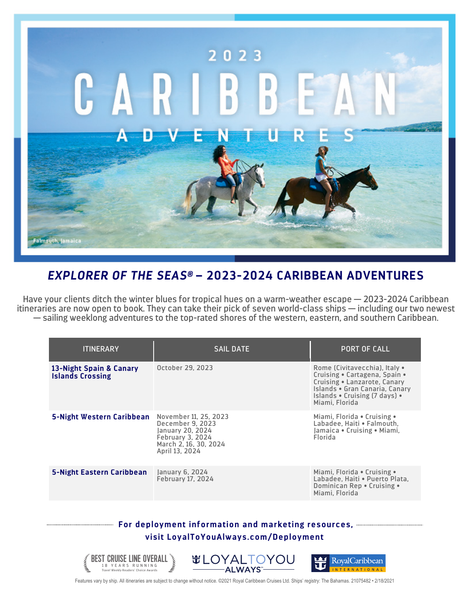

## *EXPLORER OF THE SEAS®* **– 2023-2024 CARIBBEAN ADVENTURES**

Have your clients ditch the winter blues for tropical hues on a warm-weather escape — 2023-2024 Caribbean itineraries are now open to book. They can take their pick of seven world-class ships — including our two newest — sailing weeklong adventures to the top-rated shores of the western, eastern, and southern Caribbean.

| <b>ITINERARY</b>                                   | <b>SAIL DATE</b>                                                                                                                    | <b>PORT OF CALL</b>                                                                                                                                                                 |
|----------------------------------------------------|-------------------------------------------------------------------------------------------------------------------------------------|-------------------------------------------------------------------------------------------------------------------------------------------------------------------------------------|
| 13-Night Spain & Canary<br><b>Islands Crossing</b> | October 29, 2023                                                                                                                    | Rome (Civitavecchia), Italy •<br>Cruising • Cartagena, Spain •<br>Cruising • Lanzarote, Canary<br>Islands • Gran Canaria, Canary<br>Islands . Cruising (7 days) .<br>Miami, Florida |
| 5-Night Western Caribbean                          | November 11, 25, 2023<br>December 9, 2023<br>January 20, 2024<br><b>February 3, 2024</b><br>March 2, 16, 30, 2024<br>April 13, 2024 | Miami, Florida • Cruising •<br>Labadee, Haiti • Falmouth,<br>Jamaica • Cruising • Miami,<br>Florida                                                                                 |
| 5-Night Eastern Caribbean                          | January 6, 2024<br><b>February 17, 2024</b>                                                                                         | Miami, Florida • Cruising •<br>Labadee, Haiti . Puerto Plata,<br>Dominican Rep . Cruising .<br>Miami, Florida                                                                       |
|                                                    |                                                                                                                                     |                                                                                                                                                                                     |

## **For deployment information and marketing resources, visit LoyalToYouAlways.com/Deployment**



Features vary by ship. All itineraries are subject to change without notice. ©2021 Royal Caribbean Cruises Ltd. Ships' registry: The Bahamas. 21075482 • 2/18/2021